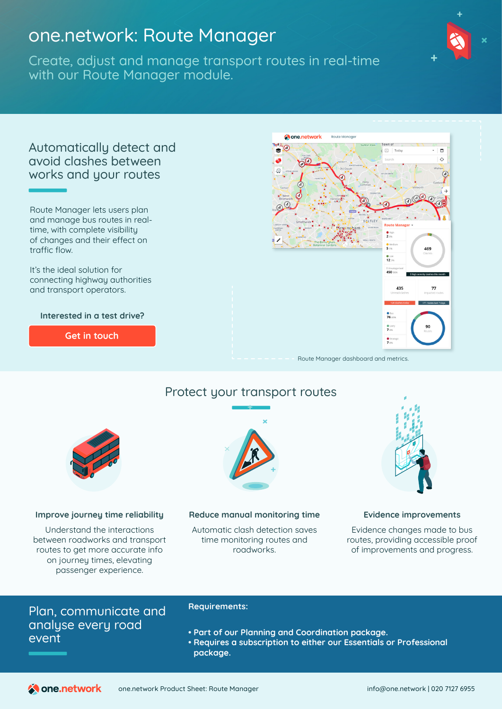# one.network: Route Manager

Create, adjust and manage transport routes in real-time with our Route Manager module.





#### **Improve journey time reliability**

Understand the interactions between roadworks and transport routes to get more accurate info on journey times, elevating passenger experience.

#### **Reduce manual monitoring time**

Automatic clash detection saves time monitoring routes and roadworks.



#### **Evidence improvements**

Evidence changes made to bus routes, providing accessible proof of improvements and progress.

## Plan, communicate and analyse every road event

### **Requirements:**

- **• Part of our Planning and Coordination package.**
- **• Requires a subscription to either our Essentials or Professional package.**